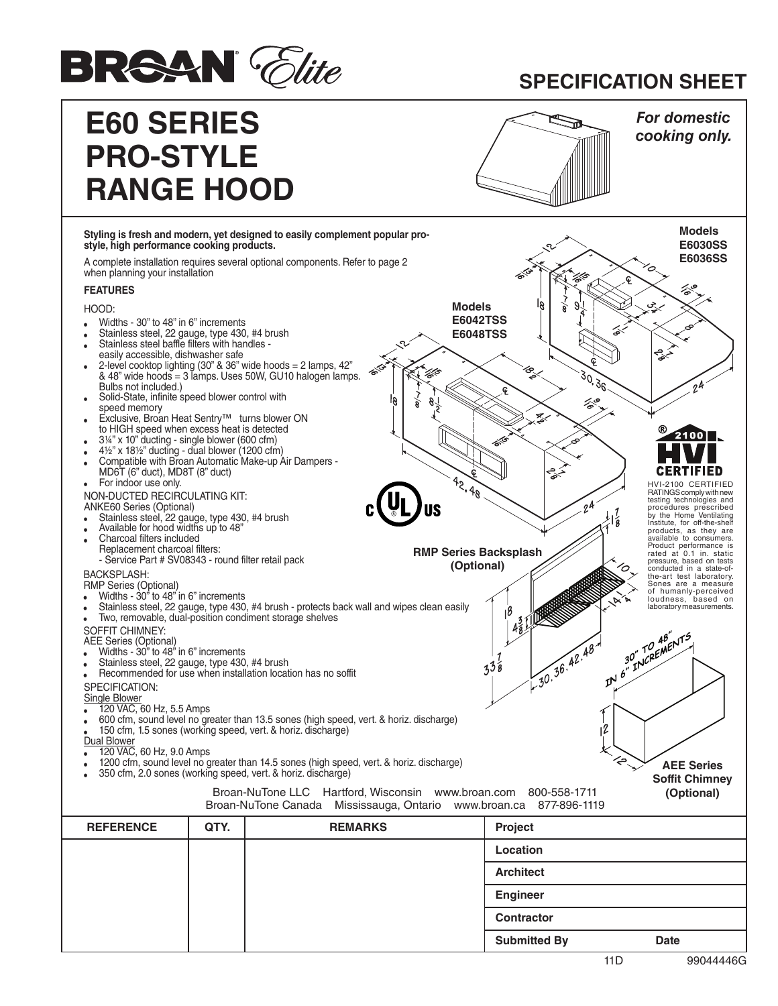

## **SPECIFICATION SHEET**